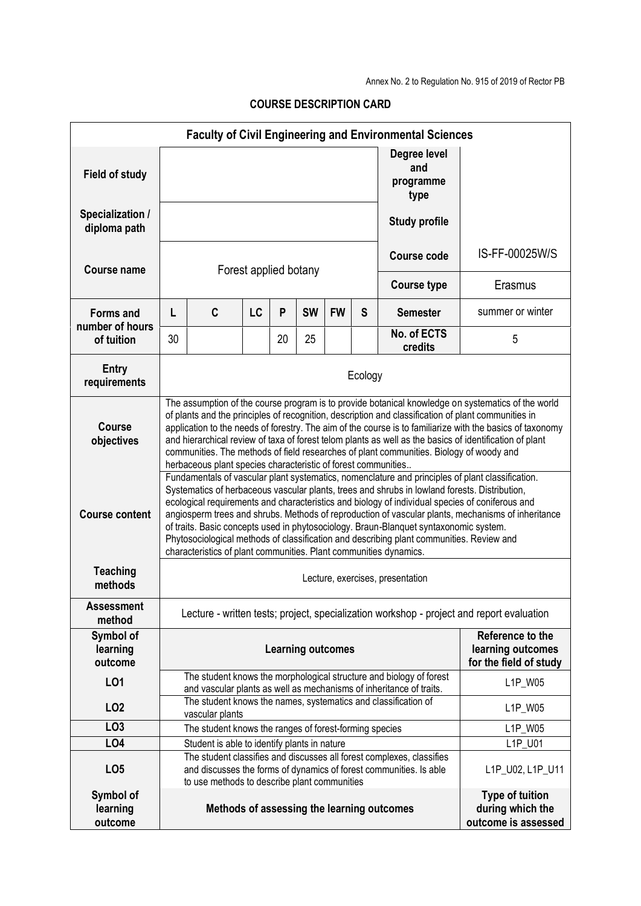Annex No. 2 to Regulation No. 915 of 2019 of Rector PB

| <b>Faculty of Civil Engineering and Environmental Sciences</b> |                                                                                                                                                                                                                                                                                                                                                                                                                                                                                                                                                                                                                                                                      |                                              |                                                                                                                                                       |    |           |           |                                             |                                            |                                                                   |
|----------------------------------------------------------------|----------------------------------------------------------------------------------------------------------------------------------------------------------------------------------------------------------------------------------------------------------------------------------------------------------------------------------------------------------------------------------------------------------------------------------------------------------------------------------------------------------------------------------------------------------------------------------------------------------------------------------------------------------------------|----------------------------------------------|-------------------------------------------------------------------------------------------------------------------------------------------------------|----|-----------|-----------|---------------------------------------------|--------------------------------------------|-------------------------------------------------------------------|
| <b>Field of study</b>                                          |                                                                                                                                                                                                                                                                                                                                                                                                                                                                                                                                                                                                                                                                      |                                              |                                                                                                                                                       |    |           |           |                                             | Degree level<br>and<br>programme<br>type   |                                                                   |
| Specialization /<br>diploma path                               |                                                                                                                                                                                                                                                                                                                                                                                                                                                                                                                                                                                                                                                                      |                                              |                                                                                                                                                       |    |           |           |                                             | <b>Study profile</b>                       |                                                                   |
| <b>Course name</b>                                             | Forest applied botany                                                                                                                                                                                                                                                                                                                                                                                                                                                                                                                                                                                                                                                |                                              |                                                                                                                                                       |    |           |           |                                             | IS-FF-00025W/S<br>Course code              |                                                                   |
|                                                                |                                                                                                                                                                                                                                                                                                                                                                                                                                                                                                                                                                                                                                                                      |                                              |                                                                                                                                                       |    |           |           |                                             | <b>Course type</b>                         | Erasmus                                                           |
| <b>Forms and</b><br>number of hours                            | L                                                                                                                                                                                                                                                                                                                                                                                                                                                                                                                                                                                                                                                                    | C                                            | LC                                                                                                                                                    | P  | <b>SW</b> | <b>FW</b> | S                                           | <b>Semester</b>                            | summer or winter                                                  |
| of tuition                                                     | 30                                                                                                                                                                                                                                                                                                                                                                                                                                                                                                                                                                                                                                                                   |                                              |                                                                                                                                                       | 20 | 25        |           |                                             | No. of ECTS<br>credits                     | 5                                                                 |
| <b>Entry</b><br>requirements                                   | Ecology                                                                                                                                                                                                                                                                                                                                                                                                                                                                                                                                                                                                                                                              |                                              |                                                                                                                                                       |    |           |           |                                             |                                            |                                                                   |
| <b>Course</b><br>objectives                                    | The assumption of the course program is to provide botanical knowledge on systematics of the world<br>of plants and the principles of recognition, description and classification of plant communities in<br>application to the needs of forestry. The aim of the course is to familiarize with the basics of taxonomy<br>and hierarchical review of taxa of forest telom plants as well as the basics of identification of plant<br>communities. The methods of field researches of plant communities. Biology of woody and<br>herbaceous plant species characteristic of forest communities                                                                        |                                              |                                                                                                                                                       |    |           |           |                                             |                                            |                                                                   |
| <b>Course content</b>                                          | Fundamentals of vascular plant systematics, nomenclature and principles of plant classification.<br>Systematics of herbaceous vascular plants, trees and shrubs in lowland forests. Distribution,<br>ecological requirements and characteristics and biology of individual species of coniferous and<br>angiosperm trees and shrubs. Methods of reproduction of vascular plants, mechanisms of inheritance<br>of traits. Basic concepts used in phytosociology. Braun-Blanquet syntaxonomic system.<br>Phytosociological methods of classification and describing plant communities. Review and<br>characteristics of plant communities. Plant communities dynamics. |                                              |                                                                                                                                                       |    |           |           |                                             |                                            |                                                                   |
| <b>Teaching</b><br>methods                                     | Lecture, exercises, presentation                                                                                                                                                                                                                                                                                                                                                                                                                                                                                                                                                                                                                                     |                                              |                                                                                                                                                       |    |           |           |                                             |                                            |                                                                   |
| <b>Assessment</b><br>method                                    | Lecture - written tests; project, specialization workshop - project and report evaluation                                                                                                                                                                                                                                                                                                                                                                                                                                                                                                                                                                            |                                              |                                                                                                                                                       |    |           |           |                                             |                                            |                                                                   |
| Symbol of<br>learning<br>outcome                               | Reference to the<br><b>Learning outcomes</b>                                                                                                                                                                                                                                                                                                                                                                                                                                                                                                                                                                                                                         |                                              |                                                                                                                                                       |    |           |           | learning outcomes<br>for the field of study |                                            |                                                                   |
| LO1                                                            |                                                                                                                                                                                                                                                                                                                                                                                                                                                                                                                                                                                                                                                                      |                                              | The student knows the morphological structure and biology of forest<br>L1P_W05<br>and vascular plants as well as mechanisms of inheritance of traits. |    |           |           |                                             |                                            |                                                                   |
| LO <sub>2</sub>                                                | The student knows the names, systematics and classification of<br>vascular plants                                                                                                                                                                                                                                                                                                                                                                                                                                                                                                                                                                                    |                                              |                                                                                                                                                       |    |           |           | L1P_W05                                     |                                            |                                                                   |
| LO <sub>3</sub>                                                | The student knows the ranges of forest-forming species                                                                                                                                                                                                                                                                                                                                                                                                                                                                                                                                                                                                               |                                              |                                                                                                                                                       |    |           | L1P_W05   |                                             |                                            |                                                                   |
| L04                                                            |                                                                                                                                                                                                                                                                                                                                                                                                                                                                                                                                                                                                                                                                      | Student is able to identify plants in nature |                                                                                                                                                       |    |           |           |                                             |                                            | L1P_U01                                                           |
| LO <sub>5</sub>                                                | The student classifies and discusses all forest complexes, classifies<br>and discusses the forms of dynamics of forest communities. Is able<br>to use methods to describe plant communities                                                                                                                                                                                                                                                                                                                                                                                                                                                                          |                                              |                                                                                                                                                       |    |           |           |                                             | L1P_U02, L1P_U11                           |                                                                   |
| Symbol of<br>learning<br>outcome                               |                                                                                                                                                                                                                                                                                                                                                                                                                                                                                                                                                                                                                                                                      |                                              |                                                                                                                                                       |    |           |           |                                             | Methods of assessing the learning outcomes | <b>Type of tuition</b><br>during which the<br>outcome is assessed |

**COURSE DESCRIPTION CARD**